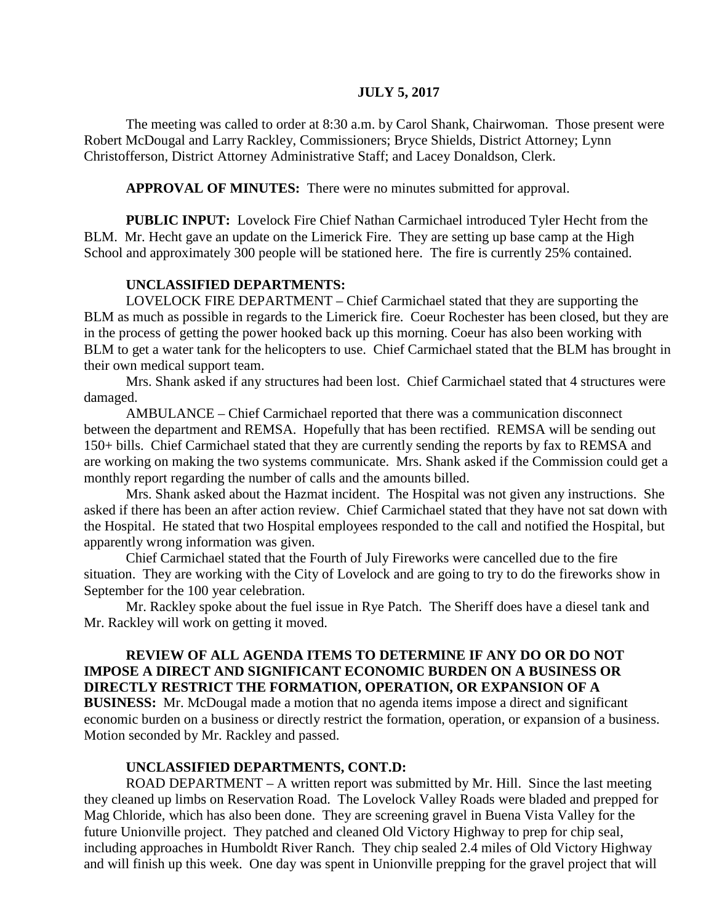#### **JULY 5, 2017**

The meeting was called to order at 8:30 a.m. by Carol Shank, Chairwoman. Those present were Robert McDougal and Larry Rackley, Commissioners; Bryce Shields, District Attorney; Lynn Christofferson, District Attorney Administrative Staff; and Lacey Donaldson, Clerk.

**APPROVAL OF MINUTES:** There were no minutes submitted for approval.

 **PUBLIC INPUT:** Lovelock Fire Chief Nathan Carmichael introduced Tyler Hecht from the BLM. Mr. Hecht gave an update on the Limerick Fire. They are setting up base camp at the High School and approximately 300 people will be stationed here. The fire is currently 25% contained.

#### **UNCLASSIFIED DEPARTMENTS:**

LOVELOCK FIRE DEPARTMENT – Chief Carmichael stated that they are supporting the BLM as much as possible in regards to the Limerick fire. Coeur Rochester has been closed, but they are in the process of getting the power hooked back up this morning. Coeur has also been working with BLM to get a water tank for the helicopters to use. Chief Carmichael stated that the BLM has brought in their own medical support team.

Mrs. Shank asked if any structures had been lost. Chief Carmichael stated that 4 structures were damaged.

AMBULANCE – Chief Carmichael reported that there was a communication disconnect between the department and REMSA. Hopefully that has been rectified. REMSA will be sending out 150+ bills. Chief Carmichael stated that they are currently sending the reports by fax to REMSA and are working on making the two systems communicate. Mrs. Shank asked if the Commission could get a monthly report regarding the number of calls and the amounts billed.

Mrs. Shank asked about the Hazmat incident. The Hospital was not given any instructions. She asked if there has been an after action review. Chief Carmichael stated that they have not sat down with the Hospital. He stated that two Hospital employees responded to the call and notified the Hospital, but apparently wrong information was given.

Chief Carmichael stated that the Fourth of July Fireworks were cancelled due to the fire situation. They are working with the City of Lovelock and are going to try to do the fireworks show in September for the 100 year celebration.

Mr. Rackley spoke about the fuel issue in Rye Patch. The Sheriff does have a diesel tank and Mr. Rackley will work on getting it moved.

### **REVIEW OF ALL AGENDA ITEMS TO DETERMINE IF ANY DO OR DO NOT IMPOSE A DIRECT AND SIGNIFICANT ECONOMIC BURDEN ON A BUSINESS OR DIRECTLY RESTRICT THE FORMATION, OPERATION, OR EXPANSION OF A**

**BUSINESS:** Mr. McDougal made a motion that no agenda items impose a direct and significant economic burden on a business or directly restrict the formation, operation, or expansion of a business. Motion seconded by Mr. Rackley and passed.

#### **UNCLASSIFIED DEPARTMENTS, CONT.D:**

 ROAD DEPARTMENT – A written report was submitted by Mr. Hill. Since the last meeting they cleaned up limbs on Reservation Road. The Lovelock Valley Roads were bladed and prepped for Mag Chloride, which has also been done. They are screening gravel in Buena Vista Valley for the future Unionville project. They patched and cleaned Old Victory Highway to prep for chip seal, including approaches in Humboldt River Ranch. They chip sealed 2.4 miles of Old Victory Highway and will finish up this week. One day was spent in Unionville prepping for the gravel project that will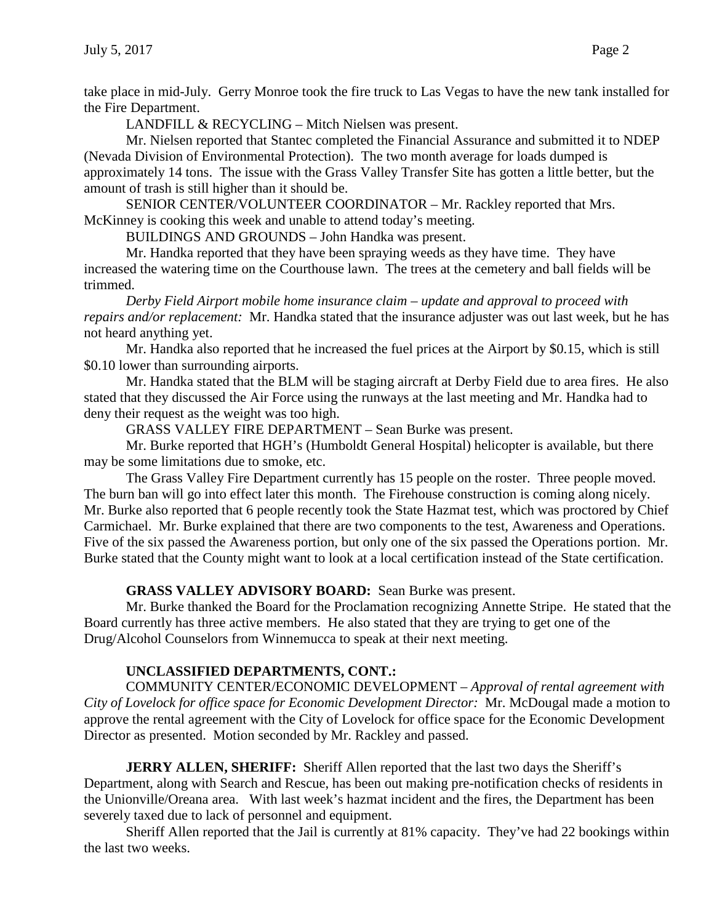take place in mid-July. Gerry Monroe took the fire truck to Las Vegas to have the new tank installed for the Fire Department.

LANDFILL & RECYCLING – Mitch Nielsen was present.

Mr. Nielsen reported that Stantec completed the Financial Assurance and submitted it to NDEP (Nevada Division of Environmental Protection). The two month average for loads dumped is approximately 14 tons. The issue with the Grass Valley Transfer Site has gotten a little better, but the amount of trash is still higher than it should be.

SENIOR CENTER/VOLUNTEER COORDINATOR – Mr. Rackley reported that Mrs. McKinney is cooking this week and unable to attend today's meeting.

BUILDINGS AND GROUNDS – John Handka was present.

Mr. Handka reported that they have been spraying weeds as they have time. They have increased the watering time on the Courthouse lawn. The trees at the cemetery and ball fields will be trimmed.

*Derby Field Airport mobile home insurance claim – update and approval to proceed with repairs and/or replacement:* Mr. Handka stated that the insurance adjuster was out last week, but he has not heard anything yet.

Mr. Handka also reported that he increased the fuel prices at the Airport by \$0.15, which is still \$0.10 lower than surrounding airports.

Mr. Handka stated that the BLM will be staging aircraft at Derby Field due to area fires. He also stated that they discussed the Air Force using the runways at the last meeting and Mr. Handka had to deny their request as the weight was too high.

GRASS VALLEY FIRE DEPARTMENT – Sean Burke was present.

Mr. Burke reported that HGH's (Humboldt General Hospital) helicopter is available, but there may be some limitations due to smoke, etc.

The Grass Valley Fire Department currently has 15 people on the roster. Three people moved. The burn ban will go into effect later this month. The Firehouse construction is coming along nicely. Mr. Burke also reported that 6 people recently took the State Hazmat test, which was proctored by Chief Carmichael. Mr. Burke explained that there are two components to the test, Awareness and Operations. Five of the six passed the Awareness portion, but only one of the six passed the Operations portion. Mr. Burke stated that the County might want to look at a local certification instead of the State certification.

## **GRASS VALLEY ADVISORY BOARD:** Sean Burke was present.

Mr. Burke thanked the Board for the Proclamation recognizing Annette Stripe. He stated that the Board currently has three active members. He also stated that they are trying to get one of the Drug/Alcohol Counselors from Winnemucca to speak at their next meeting.

# **UNCLASSIFIED DEPARTMENTS, CONT.:**

COMMUNITY CENTER/ECONOMIC DEVELOPMENT – *Approval of rental agreement with City of Lovelock for office space for Economic Development Director:* Mr. McDougal made a motion to approve the rental agreement with the City of Lovelock for office space for the Economic Development Director as presented. Motion seconded by Mr. Rackley and passed.

**JERRY ALLEN, SHERIFF:** Sheriff Allen reported that the last two days the Sheriff's Department, along with Search and Rescue, has been out making pre-notification checks of residents in the Unionville/Oreana area. With last week's hazmat incident and the fires, the Department has been severely taxed due to lack of personnel and equipment.

Sheriff Allen reported that the Jail is currently at 81% capacity. They've had 22 bookings within the last two weeks.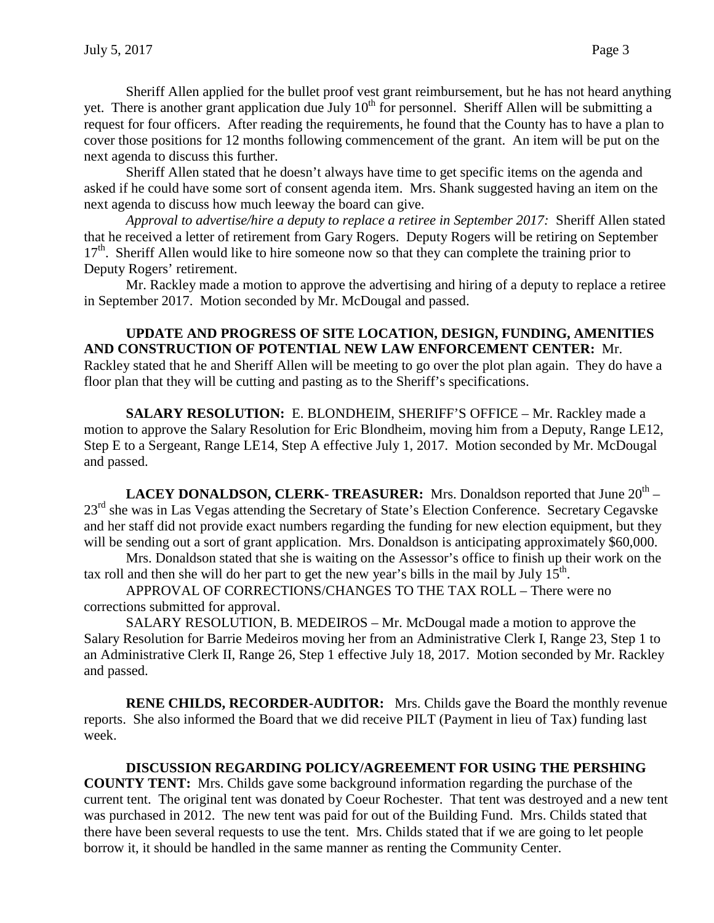Sheriff Allen applied for the bullet proof vest grant reimbursement, but he has not heard anything yet. There is another grant application due July  $10^{th}$  for personnel. Sheriff Allen will be submitting a request for four officers. After reading the requirements, he found that the County has to have a plan to cover those positions for 12 months following commencement of the grant. An item will be put on the next agenda to discuss this further.

Sheriff Allen stated that he doesn't always have time to get specific items on the agenda and asked if he could have some sort of consent agenda item. Mrs. Shank suggested having an item on the next agenda to discuss how much leeway the board can give.

*Approval to advertise/hire a deputy to replace a retiree in September 2017:* Sheriff Allen stated that he received a letter of retirement from Gary Rogers. Deputy Rogers will be retiring on September 17<sup>th</sup>. Sheriff Allen would like to hire someone now so that they can complete the training prior to Deputy Rogers' retirement.

Mr. Rackley made a motion to approve the advertising and hiring of a deputy to replace a retiree in September 2017. Motion seconded by Mr. McDougal and passed.

### **UPDATE AND PROGRESS OF SITE LOCATION, DESIGN, FUNDING, AMENITIES AND CONSTRUCTION OF POTENTIAL NEW LAW ENFORCEMENT CENTER:** Mr.

Rackley stated that he and Sheriff Allen will be meeting to go over the plot plan again. They do have a floor plan that they will be cutting and pasting as to the Sheriff's specifications.

**SALARY RESOLUTION:** E. BLONDHEIM, SHERIFF'S OFFICE – Mr. Rackley made a motion to approve the Salary Resolution for Eric Blondheim, moving him from a Deputy, Range LE12, Step E to a Sergeant, Range LE14, Step A effective July 1, 2017. Motion seconded by Mr. McDougal and passed.

**LACEY DONALDSON, CLERK- TREASURER:** Mrs. Donaldson reported that June 20<sup>th</sup> – 23<sup>rd</sup> she was in Las Vegas attending the Secretary of State's Election Conference. Secretary Cegavske and her staff did not provide exact numbers regarding the funding for new election equipment, but they will be sending out a sort of grant application. Mrs. Donaldson is anticipating approximately \$60,000.

Mrs. Donaldson stated that she is waiting on the Assessor's office to finish up their work on the tax roll and then she will do her part to get the new year's bills in the mail by July  $15<sup>th</sup>$ .

APPROVAL OF CORRECTIONS/CHANGES TO THE TAX ROLL – There were no corrections submitted for approval.

SALARY RESOLUTION, B. MEDEIROS – Mr. McDougal made a motion to approve the Salary Resolution for Barrie Medeiros moving her from an Administrative Clerk I, Range 23, Step 1 to an Administrative Clerk II, Range 26, Step 1 effective July 18, 2017. Motion seconded by Mr. Rackley and passed.

**RENE CHILDS, RECORDER-AUDITOR:** Mrs. Childs gave the Board the monthly revenue reports. She also informed the Board that we did receive PILT (Payment in lieu of Tax) funding last week.

### **DISCUSSION REGARDING POLICY/AGREEMENT FOR USING THE PERSHING**

**COUNTY TENT:** Mrs. Childs gave some background information regarding the purchase of the current tent. The original tent was donated by Coeur Rochester. That tent was destroyed and a new tent was purchased in 2012. The new tent was paid for out of the Building Fund. Mrs. Childs stated that there have been several requests to use the tent. Mrs. Childs stated that if we are going to let people borrow it, it should be handled in the same manner as renting the Community Center.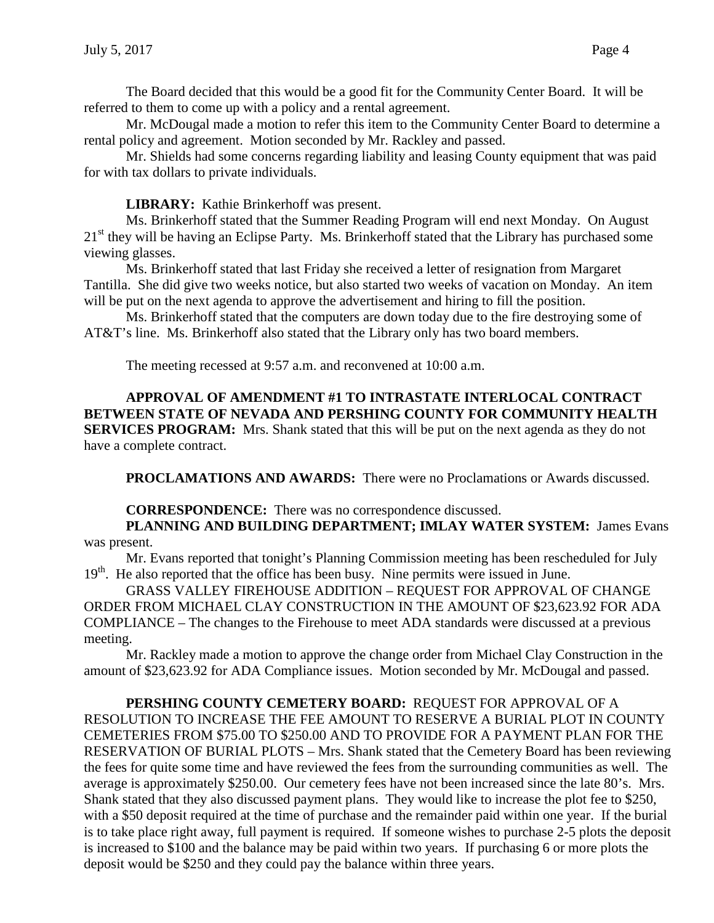The Board decided that this would be a good fit for the Community Center Board. It will be referred to them to come up with a policy and a rental agreement.

Mr. McDougal made a motion to refer this item to the Community Center Board to determine a rental policy and agreement. Motion seconded by Mr. Rackley and passed.

Mr. Shields had some concerns regarding liability and leasing County equipment that was paid for with tax dollars to private individuals.

**LIBRARY:** Kathie Brinkerhoff was present.

Ms. Brinkerhoff stated that the Summer Reading Program will end next Monday. On August 21<sup>st</sup> they will be having an Eclipse Party. Ms. Brinkerhoff stated that the Library has purchased some viewing glasses.

Ms. Brinkerhoff stated that last Friday she received a letter of resignation from Margaret Tantilla. She did give two weeks notice, but also started two weeks of vacation on Monday. An item will be put on the next agenda to approve the advertisement and hiring to fill the position.

Ms. Brinkerhoff stated that the computers are down today due to the fire destroying some of AT&T's line. Ms. Brinkerhoff also stated that the Library only has two board members.

The meeting recessed at 9:57 a.m. and reconvened at 10:00 a.m.

**APPROVAL OF AMENDMENT #1 TO INTRASTATE INTERLOCAL CONTRACT BETWEEN STATE OF NEVADA AND PERSHING COUNTY FOR COMMUNITY HEALTH SERVICES PROGRAM:** Mrs. Shank stated that this will be put on the next agenda as they do not have a complete contract.

**PROCLAMATIONS AND AWARDS:** There were no Proclamations or Awards discussed.

### **CORRESPONDENCE:** There was no correspondence discussed.

**PLANNING AND BUILDING DEPARTMENT; IMLAY WATER SYSTEM:** James Evans was present.

Mr. Evans reported that tonight's Planning Commission meeting has been rescheduled for July 19<sup>th</sup>. He also reported that the office has been busy. Nine permits were issued in June.

GRASS VALLEY FIREHOUSE ADDITION – REQUEST FOR APPROVAL OF CHANGE ORDER FROM MICHAEL CLAY CONSTRUCTION IN THE AMOUNT OF \$23,623.92 FOR ADA COMPLIANCE – The changes to the Firehouse to meet ADA standards were discussed at a previous meeting.

Mr. Rackley made a motion to approve the change order from Michael Clay Construction in the amount of \$23,623.92 for ADA Compliance issues. Motion seconded by Mr. McDougal and passed.

**PERSHING COUNTY CEMETERY BOARD:** REQUEST FOR APPROVAL OF A RESOLUTION TO INCREASE THE FEE AMOUNT TO RESERVE A BURIAL PLOT IN COUNTY CEMETERIES FROM \$75.00 TO \$250.00 AND TO PROVIDE FOR A PAYMENT PLAN FOR THE RESERVATION OF BURIAL PLOTS – Mrs. Shank stated that the Cemetery Board has been reviewing the fees for quite some time and have reviewed the fees from the surrounding communities as well. The average is approximately \$250.00. Our cemetery fees have not been increased since the late 80's. Mrs. Shank stated that they also discussed payment plans. They would like to increase the plot fee to \$250, with a \$50 deposit required at the time of purchase and the remainder paid within one year. If the burial is to take place right away, full payment is required. If someone wishes to purchase 2-5 plots the deposit is increased to \$100 and the balance may be paid within two years. If purchasing 6 or more plots the deposit would be \$250 and they could pay the balance within three years.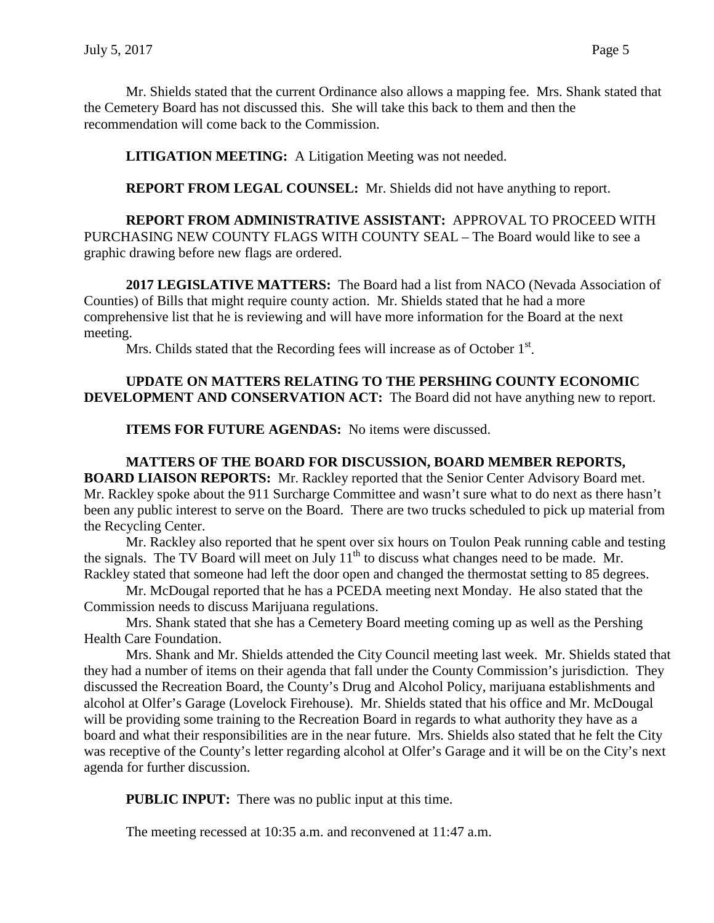Mr. Shields stated that the current Ordinance also allows a mapping fee. Mrs. Shank stated that the Cemetery Board has not discussed this. She will take this back to them and then the recommendation will come back to the Commission.

**LITIGATION MEETING:** A Litigation Meeting was not needed.

**REPORT FROM LEGAL COUNSEL:** Mr. Shields did not have anything to report.

**REPORT FROM ADMINISTRATIVE ASSISTANT:** APPROVAL TO PROCEED WITH PURCHASING NEW COUNTY FLAGS WITH COUNTY SEAL – The Board would like to see a graphic drawing before new flags are ordered.

**2017 LEGISLATIVE MATTERS:** The Board had a list from NACO (Nevada Association of Counties) of Bills that might require county action. Mr. Shields stated that he had a more comprehensive list that he is reviewing and will have more information for the Board at the next meeting.

Mrs. Childs stated that the Recording fees will increase as of October  $1<sup>st</sup>$ .

## **UPDATE ON MATTERS RELATING TO THE PERSHING COUNTY ECONOMIC DEVELOPMENT AND CONSERVATION ACT:** The Board did not have anything new to report.

**ITEMS FOR FUTURE AGENDAS:** No items were discussed.

### **MATTERS OF THE BOARD FOR DISCUSSION, BOARD MEMBER REPORTS, BOARD LIAISON REPORTS:** Mr. Rackley reported that the Senior Center Advisory Board met. Mr. Rackley spoke about the 911 Surcharge Committee and wasn't sure what to do next as there hasn't been any public interest to serve on the Board. There are two trucks scheduled to pick up material from the Recycling Center.

Mr. Rackley also reported that he spent over six hours on Toulon Peak running cable and testing the signals. The TV Board will meet on July  $11<sup>th</sup>$  to discuss what changes need to be made. Mr. Rackley stated that someone had left the door open and changed the thermostat setting to 85 degrees.

Mr. McDougal reported that he has a PCEDA meeting next Monday. He also stated that the Commission needs to discuss Marijuana regulations.

Mrs. Shank stated that she has a Cemetery Board meeting coming up as well as the Pershing Health Care Foundation.

Mrs. Shank and Mr. Shields attended the City Council meeting last week. Mr. Shields stated that they had a number of items on their agenda that fall under the County Commission's jurisdiction. They discussed the Recreation Board, the County's Drug and Alcohol Policy, marijuana establishments and alcohol at Olfer's Garage (Lovelock Firehouse). Mr. Shields stated that his office and Mr. McDougal will be providing some training to the Recreation Board in regards to what authority they have as a board and what their responsibilities are in the near future. Mrs. Shields also stated that he felt the City was receptive of the County's letter regarding alcohol at Olfer's Garage and it will be on the City's next agenda for further discussion.

**PUBLIC INPUT:** There was no public input at this time.

The meeting recessed at 10:35 a.m. and reconvened at 11:47 a.m.